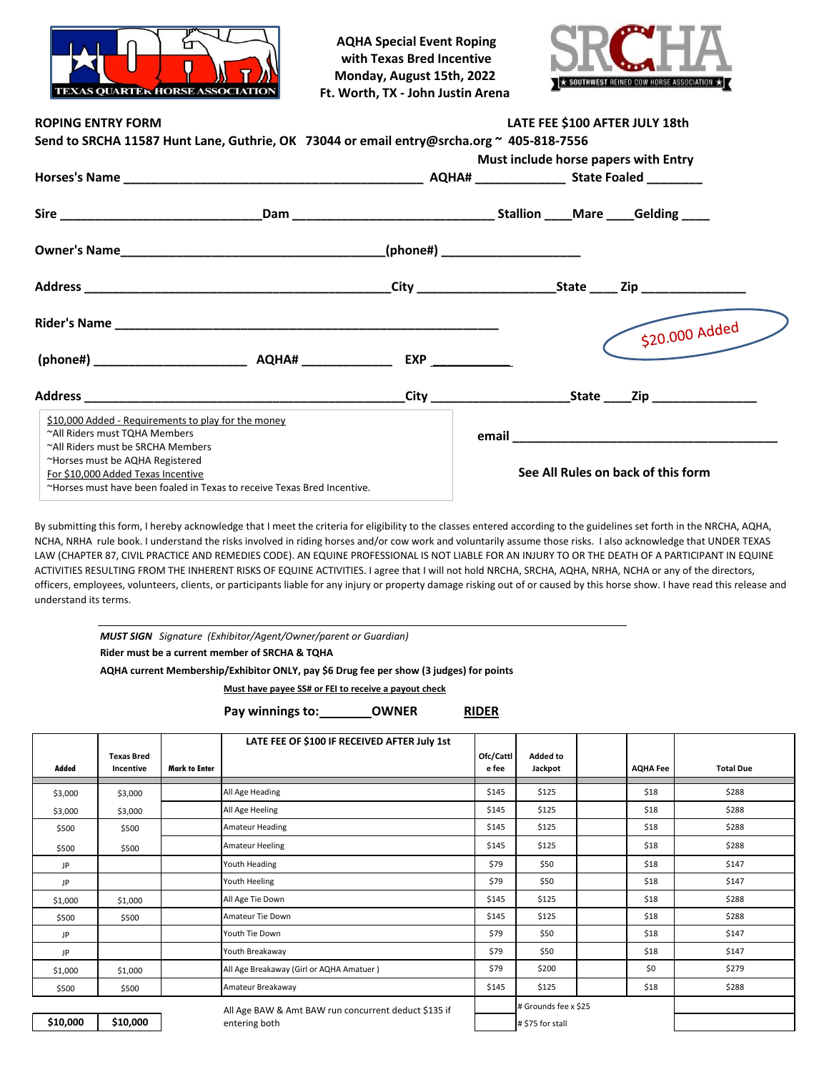

**AQHA Special Event Roping with Texas Bred Incentive Monday, August 15th, 2022 Ft. Worth, TX - John Justin Arena**



| <b>ROPING ENTRY FORM</b>                                                                 | LATE FEE \$100 AFTER JULY 18th                                          |  |                                      |                                    |  |  |
|------------------------------------------------------------------------------------------|-------------------------------------------------------------------------|--|--------------------------------------|------------------------------------|--|--|
| Send to SRCHA 11587 Hunt Lane, Guthrie, OK 73044 or email entry@srcha.org ~ 405-818-7556 |                                                                         |  |                                      |                                    |  |  |
|                                                                                          |                                                                         |  | Must include horse papers with Entry |                                    |  |  |
|                                                                                          |                                                                         |  |                                      |                                    |  |  |
|                                                                                          |                                                                         |  |                                      |                                    |  |  |
|                                                                                          |                                                                         |  |                                      |                                    |  |  |
|                                                                                          |                                                                         |  |                                      |                                    |  |  |
|                                                                                          |                                                                         |  |                                      | \$20.000 Added                     |  |  |
|                                                                                          |                                                                         |  |                                      |                                    |  |  |
|                                                                                          |                                                                         |  |                                      |                                    |  |  |
| \$10,000 Added - Requirements to play for the money                                      |                                                                         |  |                                      |                                    |  |  |
| ~All Riders must TQHA Members                                                            |                                                                         |  |                                      |                                    |  |  |
| ~All Riders must be SRCHA Members                                                        |                                                                         |  |                                      |                                    |  |  |
| ~Horses must be AQHA Registered                                                          |                                                                         |  |                                      |                                    |  |  |
| For \$10,000 Added Texas Incentive                                                       |                                                                         |  |                                      | See All Rules on back of this form |  |  |
|                                                                                          | ~Horses must have been foaled in Texas to receive Texas Bred Incentive. |  |                                      |                                    |  |  |

By submitting this form, I hereby acknowledge that I meet the criteria for eligibility to the classes entered according to the guidelines set forth in the NRCHA, AQHA, NCHA, NRHA rule book. I understand the risks involved in riding horses and/or cow work and voluntarily assume those risks. I also acknowledge that UNDER TEXAS LAW (CHAPTER 87, CIVIL PRACTICE AND REMEDIES CODE). AN EQUINE PROFESSIONAL IS NOT LIABLE FOR AN INJURY TO OR THE DEATH OF A PARTICIPANT IN EQUINE ACTIVITIES RESULTING FROM THE INHERENT RISKS OF EQUINE ACTIVITIES. I agree that I will not hold NRCHA, SRCHA, AQHA, NRHA, NCHA or any of the directors, officers, employees, volunteers, clients, or participants liable for any injury or property damage risking out of or caused by this horse show. I have read this release and understand its terms.

*MUST SIGN Signature (Exhibitor/Agent/Owner/parent or Guardian)*

**Rider must be a current member of SRCHA & TQHA**

**AQHA current Membership/Exhibitor ONLY, pay \$6 Drug fee per show (3 judges) for points**

**Must have payee SS# or FEI to receive a payout check**

Pay winnings to: \_\_\_\_\_\_\_\_\_OWNER RIDER

|          |                   |                      | LATE FEE OF \$100 IF RECEIVED AFTER July 1st         |           |                      |                 |                  |
|----------|-------------------|----------------------|------------------------------------------------------|-----------|----------------------|-----------------|------------------|
|          | <b>Texas Bred</b> |                      |                                                      | Ofc/Cattl | Added to             |                 |                  |
| Added    | Incentive         | <b>Mark to Enter</b> |                                                      | e fee     | Jackpot              | <b>AQHA Fee</b> | <b>Total Due</b> |
| \$3,000  | \$3,000           |                      | All Age Heading                                      | \$145     | \$125                | \$18            | \$288            |
| \$3,000  | \$3,000           |                      | All Age Heeling                                      | \$145     | \$125                | \$18            | \$288            |
| \$500    | \$500             |                      | <b>Amateur Heading</b>                               | \$145     | \$125                | \$18            | \$288            |
| \$500    | \$500             |                      | <b>Amateur Heeling</b>                               | \$145     | \$125                | \$18            | \$288            |
| JP       |                   |                      | Youth Heading                                        | \$79      | \$50                 | \$18            | \$147            |
| JP       |                   |                      | Youth Heeling                                        | \$79      | \$50                 | \$18            | \$147            |
| \$1,000  | \$1,000           |                      | All Age Tie Down                                     | \$145     | \$125                | \$18            | \$288            |
| \$500    | \$500             |                      | Amateur Tie Down                                     | \$145     | \$125                | \$18            | \$288            |
| JP       |                   |                      | Youth Tie Down                                       | \$79      | \$50                 | \$18            | \$147            |
| JP       |                   |                      | Youth Breakaway                                      | \$79      | \$50                 | \$18            | \$147            |
| \$1,000  | \$1,000           |                      | All Age Breakaway (Girl or AQHA Amatuer)             | \$79      | \$200                | \$0             | \$279            |
| \$500    | \$500             |                      | Amateur Breakaway                                    | \$145     | \$125                | \$18            | \$288            |
|          |                   |                      | All Age BAW & Amt BAW run concurrent deduct \$135 if |           | # Grounds fee x \$25 |                 |                  |
| \$10,000 | \$10,000          |                      | entering both                                        |           | # \$75 for stall     |                 |                  |